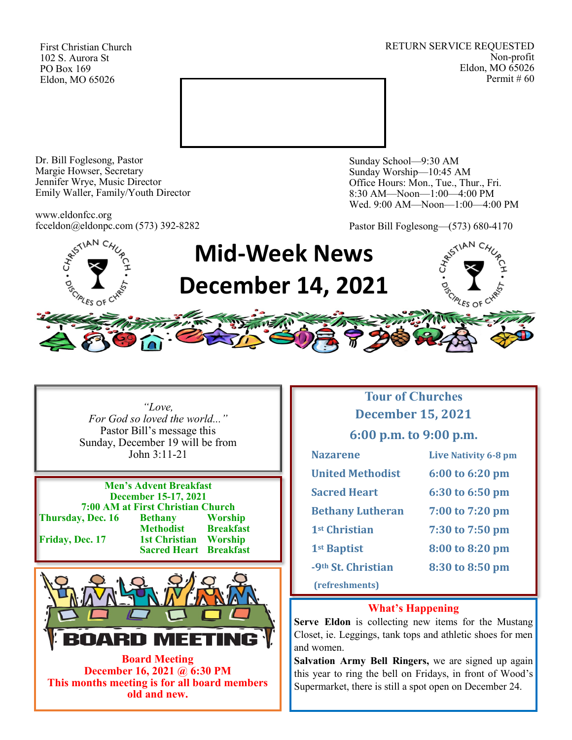First Christian Church 102 S. Aurora St PO Box 169 Eldon, MO 65026

RETURN SERVICE REQUESTED Non-profit Eldon, MO 65026 Permit # 60



Dr. Bill Foglesong, Pastor Margie Howser, Secretary Jennifer Wrye, Music Director Emily Waller, Family/Youth Director

www.eldonfcc.org fcceldon@eldonpc.com (573) 392-8282 Sunday School—9:30 AM Sunday Worship—10:45 AM Office Hours: Mon., Tue., Thur., Fri. 8:30 AM—Noon—1:00—4:00 PM Wed. 9:00 AM—Noon—1:00—4:00 PM

Pastor Bill Foglesong—(573) 680-4170



*"Love, For God so loved the world..."* Pastor Bill's message this Sunday, December 19 will be from John 3:11-21

**Men's Advent Breakfast December 15-17, 2021 7:00 AM at First Christian Church**<br> **7. Dec. 16** Bethany Worship **Thursday, Dec. 16 Bethany Methodist Breakfast<br>1st Christian Worship Friday, Dec. 17 Sacred Heart Breakfast**



**December 16, 2021 @ 6:30 PM This months meeting is for all board members old and new.**

# **Tour of Churches December 15, 2021**

**6:00 p.m. to 9:00 p.m.**

| <b>Nazarene</b>                | Live Nativity 6-8 pm |
|--------------------------------|----------------------|
| <b>United Methodist</b>        | 6:00 to 6:20 pm      |
| <b>Sacred Heart</b>            | 6:30 to 6:50 pm      |
| <b>Bethany Lutheran</b>        | 7:00 to 7:20 pm      |
| 1 <sup>st</sup> Christian      | 7:30 to 7:50 pm      |
| 1 <sup>st</sup> Baptist        | 8:00 to 8:20 pm      |
| -9 <sup>th</sup> St. Christian | 8:30 to 8:50 pm      |
| (refreshments)                 |                      |

#### **What's Happening**

**Serve Eldon** is collecting new items for the Mustang Closet, ie. Leggings, tank tops and athletic shoes for men and women.

**Salvation Army Bell Ringers,** we are signed up again this year to ring the bell on Fridays, in front of Wood's Supermarket, there is still a spot open on December 24.